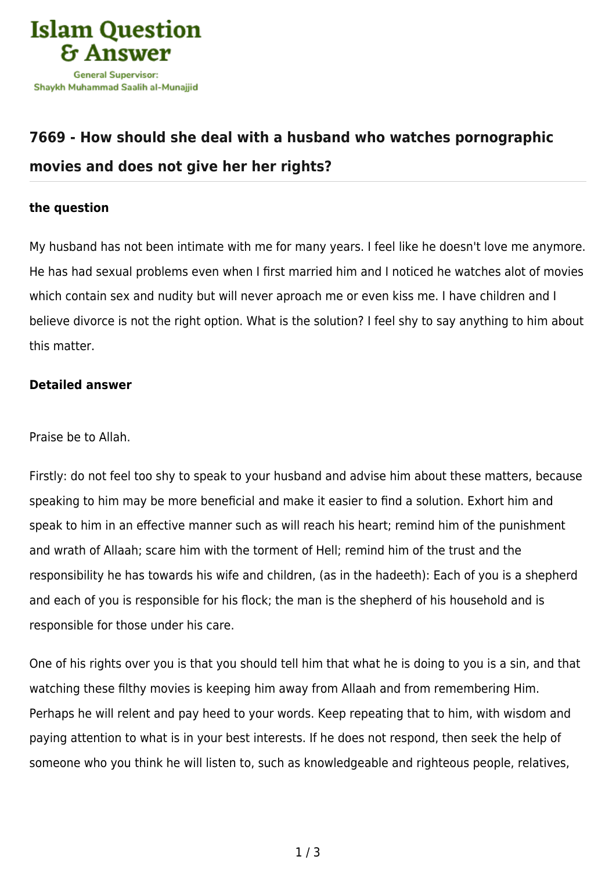

## **[7669 - How should she deal with a husband who watches pornographic](https://islamqa.com/en/answers/7669/how-should-she-deal-with-a-husband-who-watches-pornographic-movies-and-does-not-give-her-her-rights) [movies and does not give her her rights?](https://islamqa.com/en/answers/7669/how-should-she-deal-with-a-husband-who-watches-pornographic-movies-and-does-not-give-her-her-rights)**

## **the question**

My husband has not been intimate with me for many years. I feel like he doesn't love me anymore. He has had sexual problems even when I first married him and I noticed he watches alot of movies which contain sex and nudity but will never aproach me or even kiss me. I have children and I believe divorce is not the right option. What is the solution? I feel shy to say anything to him about this matter.

## **Detailed answer**

Praise be to Allah.

Firstly: do not feel too shy to speak to your husband and advise him about these matters, because speaking to him may be more beneficial and make it easier to find a solution. Exhort him and speak to him in an effective manner such as will reach his heart; remind him of the punishment and wrath of Allaah; scare him with the torment of Hell; remind him of the trust and the responsibility he has towards his wife and children, (as in the hadeeth): Each of you is a shepherd and each of you is responsible for his flock; the man is the shepherd of his household and is responsible for those under his care.

One of his rights over you is that you should tell him that what he is doing to you is a sin, and that watching these filthy movies is keeping him away from Allaah and from remembering Him. Perhaps he will relent and pay heed to your words. Keep repeating that to him, with wisdom and paying attention to what is in your best interests. If he does not respond, then seek the help of someone who you think he will listen to, such as knowledgeable and righteous people, relatives,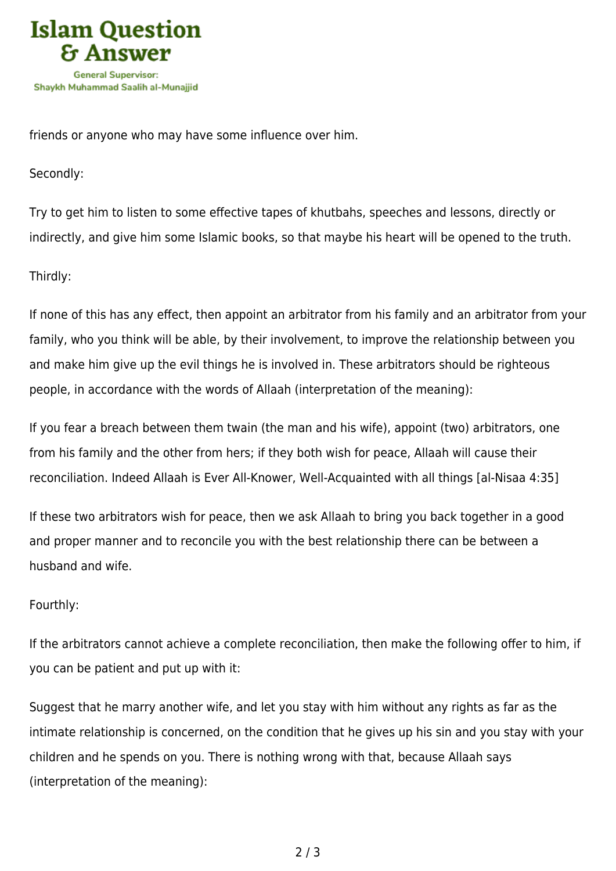

friends or anyone who may have some influence over him.

Secondly:

Try to get him to listen to some effective tapes of khutbahs, speeches and lessons, directly or indirectly, and give him some Islamic books, so that maybe his heart will be opened to the truth.

Thirdly:

If none of this has any effect, then appoint an arbitrator from his family and an arbitrator from your family, who you think will be able, by their involvement, to improve the relationship between you and make him give up the evil things he is involved in. These arbitrators should be righteous people, in accordance with the words of Allaah (interpretation of the meaning):

If you fear a breach between them twain (the man and his wife), appoint (two) arbitrators, one from his family and the other from hers; if they both wish for peace, Allaah will cause their reconciliation. Indeed Allaah is Ever All-Knower, Well-Acquainted with all things [al-Nisaa 4:35]

If these two arbitrators wish for peace, then we ask Allaah to bring you back together in a good and proper manner and to reconcile you with the best relationship there can be between a husband and wife.

## Fourthly:

If the arbitrators cannot achieve a complete reconciliation, then make the following offer to him, if you can be patient and put up with it:

Suggest that he marry another wife, and let you stay with him without any rights as far as the intimate relationship is concerned, on the condition that he gives up his sin and you stay with your children and he spends on you. There is nothing wrong with that, because Allaah says (interpretation of the meaning):